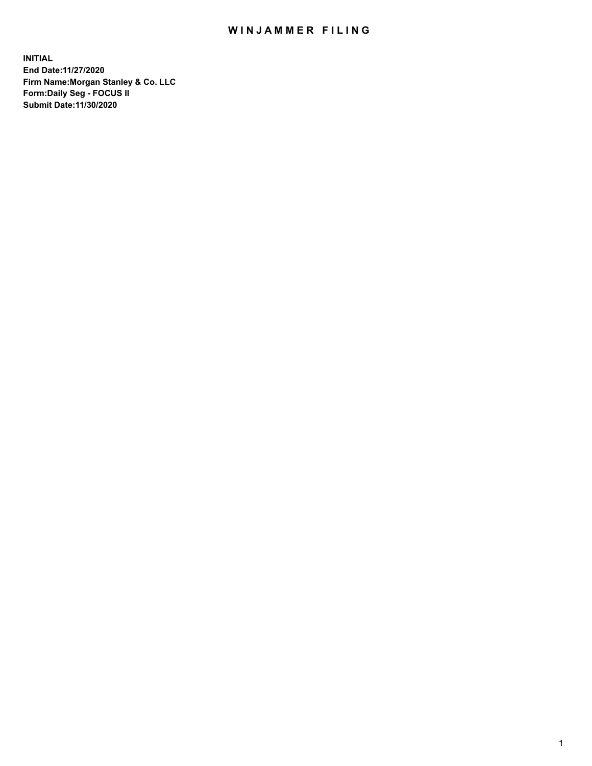## WIN JAMMER FILING

**INITIAL End Date:11/27/2020 Firm Name:Morgan Stanley & Co. LLC Form:Daily Seg - FOCUS II Submit Date:11/30/2020**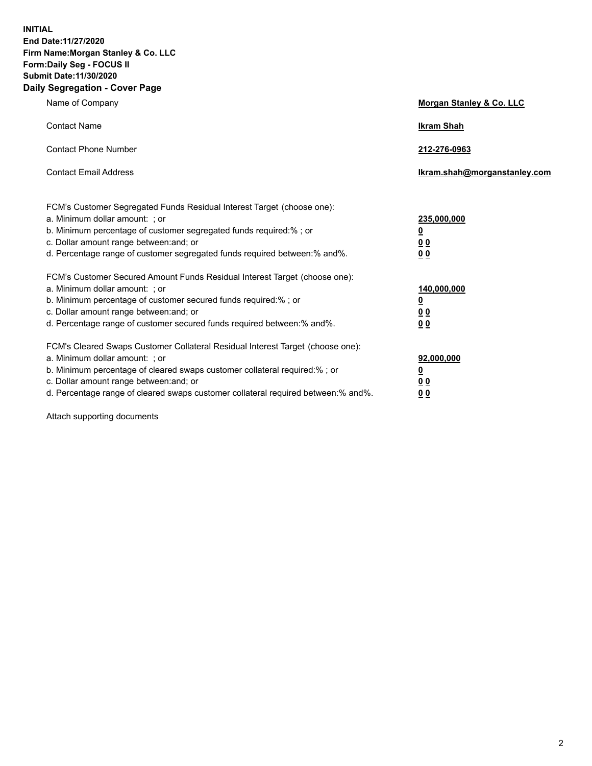**INITIAL End Date:11/27/2020 Firm Name:Morgan Stanley & Co. LLC Form:Daily Seg - FOCUS II Submit Date:11/30/2020 Daily Segregation - Cover Page**

| Name of Company                                                                                                                                                                                                                                                                                                                | <b>Morgan Stanley &amp; Co. LLC</b>                    |
|--------------------------------------------------------------------------------------------------------------------------------------------------------------------------------------------------------------------------------------------------------------------------------------------------------------------------------|--------------------------------------------------------|
| <b>Contact Name</b>                                                                                                                                                                                                                                                                                                            | <b>Ikram Shah</b>                                      |
| <b>Contact Phone Number</b>                                                                                                                                                                                                                                                                                                    | 212-276-0963                                           |
| <b>Contact Email Address</b>                                                                                                                                                                                                                                                                                                   | Ikram.shah@morganstanley.com                           |
| FCM's Customer Segregated Funds Residual Interest Target (choose one):<br>a. Minimum dollar amount: ; or<br>b. Minimum percentage of customer segregated funds required:% ; or<br>c. Dollar amount range between: and; or<br>d. Percentage range of customer segregated funds required between:% and%.                         | 235,000,000<br><u>0</u><br>0 Q<br>0 Q                  |
| FCM's Customer Secured Amount Funds Residual Interest Target (choose one):<br>a. Minimum dollar amount: ; or<br>b. Minimum percentage of customer secured funds required:% ; or<br>c. Dollar amount range between: and; or<br>d. Percentage range of customer secured funds required between: % and %.                         | 140,000,000<br><u>0</u><br><u>00</u><br>0 <sub>0</sub> |
| FCM's Cleared Swaps Customer Collateral Residual Interest Target (choose one):<br>a. Minimum dollar amount: ; or<br>b. Minimum percentage of cleared swaps customer collateral required:% ; or<br>c. Dollar amount range between: and; or<br>d. Percentage range of cleared swaps customer collateral required between:% and%. | 92,000,000<br><u>0</u><br>0 Q<br>00                    |

Attach supporting documents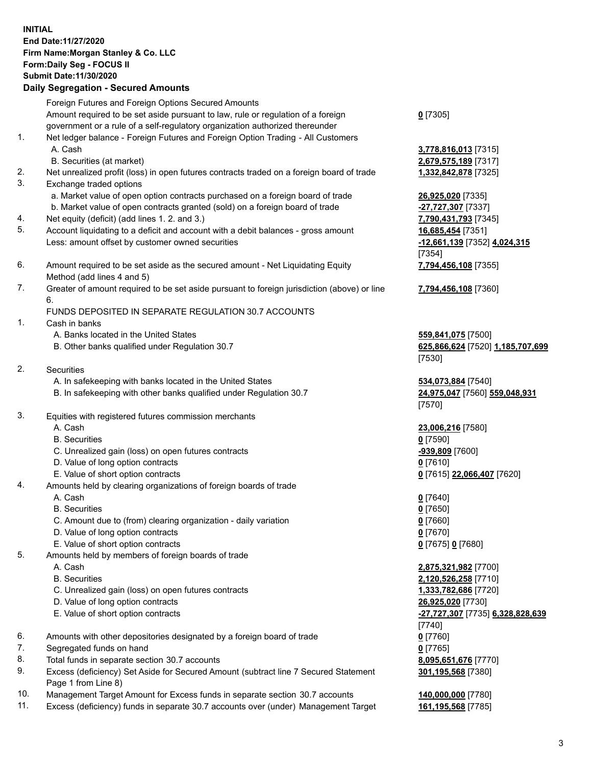## **INITIAL End Date:11/27/2020 Firm Name:Morgan Stanley & Co. LLC Form:Daily Seg - FOCUS II Submit Date:11/30/2020 Daily Segregation - Secured Amounts** Foreign Futures and Foreign Options Secured Amounts Amount required to be set aside pursuant to law, rule or regulation of a foreign government or a rule of a self-regulatory organization authorized thereunder 1. Net ledger balance - Foreign Futures and Foreign Option Trading - All Customers A. Cash **3,778,816,013** [7315] B. Securities (at market) **2,679,575,189** [7317] 2. Net unrealized profit (loss) in open futures contracts traded on a foreign board of trade **1,332,842,878** [7325] 3. Exchange traded options a. Market value of open option contracts purchased on a foreign board of trade **26,925,020** [7335] b. Market value of open contracts granted (sold) on a foreign board of trade **-27,727,307** [7337] 4. Net equity (deficit) (add lines 1. 2. and 3.) **7,790,431,793** [7345] 5. Account liquidating to a deficit and account with a debit balances - gross amount **16,685,454** [7351] Less: amount offset by customer owned securities **-12,661,139** [7352] **4,024,315**

- 6. Amount required to be set aside as the secured amount Net Liquidating Equity Method (add lines 4 and 5)
- 7. Greater of amount required to be set aside pursuant to foreign jurisdiction (above) or line 6.

## FUNDS DEPOSITED IN SEPARATE REGULATION 30.7 ACCOUNTS

- 1. Cash in banks
	- A. Banks located in the United States **559,841,075** [7500]
	- B. Other banks qualified under Regulation 30.7 **625,866,624** [7520] **1,185,707,699**
- 2. Securities
	- A. In safekeeping with banks located in the United States **534,073,884** [7540]
	- B. In safekeeping with other banks qualified under Regulation 30.7 **24,975,047** [7560] **559,048,931**
- 3. Equities with registered futures commission merchants
	-
	- B. Securities **0** [7590]
	- C. Unrealized gain (loss) on open futures contracts **-939,809** [7600]
	- D. Value of long option contracts **0** [7610]
	- E. Value of short option contracts **0** [7615] **22,066,407** [7620]
- 4. Amounts held by clearing organizations of foreign boards of trade
	-
	- B. Securities **0** [7650]
	- C. Amount due to (from) clearing organization daily variation **0** [7660]
	- D. Value of long option contracts **0** [7670]
	- E. Value of short option contracts **0** [7675] **0** [7680]
- 5. Amounts held by members of foreign boards of trade
	-
	-
	- C. Unrealized gain (loss) on open futures contracts **1,333,782,686** [7720]
	- D. Value of long option contracts **26,925,020** [7730]
	- E. Value of short option contracts **-27,727,307** [7735] **6,328,828,639**
- 6. Amounts with other depositories designated by a foreign board of trade **0** [7760]
- 7. Segregated funds on hand **0** [7765]
- 8. Total funds in separate section 30.7 accounts **8,095,651,676** [7770]
- 9. Excess (deficiency) Set Aside for Secured Amount (subtract line 7 Secured Statement Page 1 from Line 8)
- 10. Management Target Amount for Excess funds in separate section 30.7 accounts **140,000,000** [7780]
- 11. Excess (deficiency) funds in separate 30.7 accounts over (under) Management Target **161,195,568** [7785]

**0** [7305]

[7354] **7,794,456,108** [7355]

**7,794,456,108** [7360]

[7530]

[7570]

A. Cash **23,006,216** [7580]

A. Cash **0** [7640]

 A. Cash **2,875,321,982** [7700] B. Securities **2,120,526,258** [7710] [7740] **301,195,568** [7380]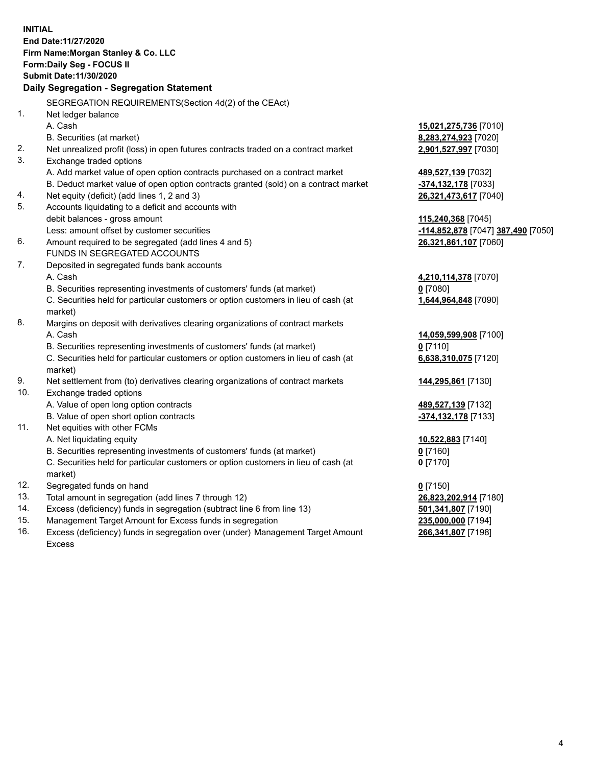|     | <b>INITIAL</b><br>End Date: 11/27/2020<br>Firm Name: Morgan Stanley & Co. LLC                  |                                    |
|-----|------------------------------------------------------------------------------------------------|------------------------------------|
|     | <b>Form:Daily Seg - FOCUS II</b>                                                               |                                    |
|     | <b>Submit Date: 11/30/2020</b>                                                                 |                                    |
|     | Daily Segregation - Segregation Statement                                                      |                                    |
|     |                                                                                                |                                    |
|     | SEGREGATION REQUIREMENTS (Section 4d(2) of the CEAct)                                          |                                    |
| 1.  | Net ledger balance                                                                             |                                    |
|     | A. Cash                                                                                        | <u>15,021,275,736</u> [7010]       |
|     | B. Securities (at market)                                                                      | <u>8,283,274,923</u> [7020]        |
| 2.  | Net unrealized profit (loss) in open futures contracts traded on a contract market             | 2,901,527,997 [7030]               |
| 3.  | Exchange traded options                                                                        |                                    |
|     | A. Add market value of open option contracts purchased on a contract market                    | 489,527,139 [7032]                 |
|     | B. Deduct market value of open option contracts granted (sold) on a contract market            | -374,132,178 [7033]                |
| 4.  | Net equity (deficit) (add lines 1, 2 and 3)                                                    | 26,321,473,617 [7040]              |
| 5.  | Accounts liquidating to a deficit and accounts with                                            |                                    |
|     | debit balances - gross amount                                                                  | 115,240,368 [7045]                 |
|     | Less: amount offset by customer securities                                                     | -114,852,878 [7047] 387,490 [7050] |
| 6.  | Amount required to be segregated (add lines 4 and 5)                                           | 26,321,861,107 [7060]              |
|     | FUNDS IN SEGREGATED ACCOUNTS                                                                   |                                    |
| 7.  | Deposited in segregated funds bank accounts                                                    |                                    |
|     | A. Cash                                                                                        | 4,210,114,378 [7070]               |
|     | B. Securities representing investments of customers' funds (at market)                         | 0 [7080]                           |
|     | C. Securities held for particular customers or option customers in lieu of cash (at<br>market) | 1,644,964,848 [7090]               |
| 8.  |                                                                                                |                                    |
|     | Margins on deposit with derivatives clearing organizations of contract markets<br>A. Cash      |                                    |
|     | B. Securities representing investments of customers' funds (at market)                         | <u>14,059,599,908</u> [7100]       |
|     |                                                                                                | $0$ [7110]                         |
|     | C. Securities held for particular customers or option customers in lieu of cash (at<br>market) | 6,638,310,075 [7120]               |
| 9.  | Net settlement from (to) derivatives clearing organizations of contract markets                | <u>144,295,861</u> [7130]          |
| 10. | Exchange traded options                                                                        |                                    |
|     | A. Value of open long option contracts                                                         | <u>489,527,139</u> [7132]          |
|     | B. Value of open short option contracts                                                        | -374,132,178 [7133]                |
| 11. | Net equities with other FCMs                                                                   |                                    |
|     | A. Net liquidating equity                                                                      | 10,522,883 [7140]                  |
|     | B. Securities representing investments of customers' funds (at market)                         | $0$ [7160]                         |
|     | C. Securities held for particular customers or option customers in lieu of cash (at            | $0$ [7170]                         |
|     | market)                                                                                        |                                    |
| 12. | Segregated funds on hand                                                                       | $0$ [7150]                         |
| 13. | Total amount in segregation (add lines 7 through 12)                                           | 26,823,202,914 [7180]              |
| 14. | Excess (deficiency) funds in segregation (subtract line 6 from line 13)                        | 501,341,807 [7190]                 |
| 15. | Management Target Amount for Excess funds in segregation                                       | 235,000,000 [7194]                 |

16. Excess (deficiency) funds in segregation over (under) Management Target Amount Excess

**266,341,807** [7198]